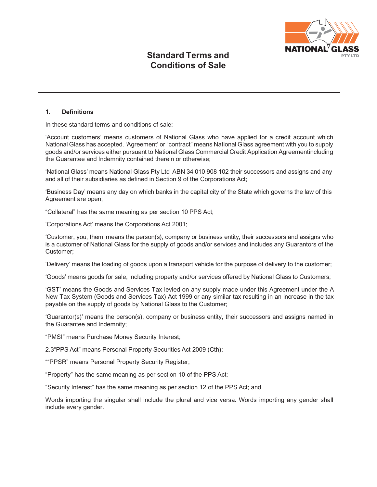

## **1. Definitions**

In these standard terms and conditions of sale:

'Account customers' means customers of National Glass who have applied for a credit account which National Glass has accepted. 'Agreement' or "contract" means National Glass agreement with you to supply goods and/or services either pursuant to National Glass Commercial Credit Application Agreementincluding the Guarantee and Indemnity contained therein or otherwise;

'National Glass' means National Glass Pty Ltd ABN 34 010 908 102 their successors and assigns and any and all of their subsidiaries as defined in Section 9 of the Corporations Act;

'Business Day' means any day on which banks in the capital city of the State which governs the law of this Agreement are open;

"Collateral" has the same meaning as per section 10 PPS Act;

'Corporations Act' means the Corporations Act 2001;

'Customer, you, them' means the person(s), company or business entity, their successors and assigns who is a customer of National Glass for the supply of goods and/or services and includes any Guarantors of the Customer;

'Delivery' means the loading of goods upon a transport vehicle for the purpose of delivery to the customer;

'Goods' means goods for sale, including property and/or services offered by National Glass to Customers;

'GST' means the Goods and Services Tax levied on any supply made under this Agreement under the A New Tax System (Goods and Services Tax) Act 1999 or any similar tax resulting in an increase in the tax payable on the supply of goods by National Glass to the Customer;

'Guarantor(s)' means the person(s), company or business entity, their successors and assigns named in the Guarantee and Indemnity;

"PMSI" means Purchase Money Security Interest;

2.3"PPS Act" means Personal Property Securities Act 2009 (Cth);

""PPSR" means Personal Property Security Register;

"Property" has the same meaning as per section 10 of the PPS Act;

"Security Interest" has the same meaning as per section 12 of the PPS Act; and

Words importing the singular shall include the plural and vice versa. Words importing any gender shall include every gender.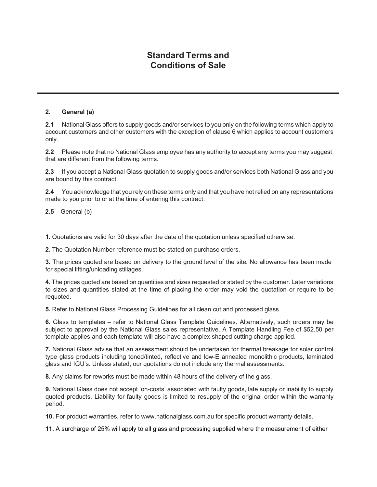## **2. General (a)**

**2.1** National Glass offers to supply goods and/or services to you only on the following terms which apply to account customers and other customers with the exception of clause 6 which applies to account customers only.

**2.2** Please note that no National Glass employee has any authority to accept any terms you may suggest that are different from the following terms.

**2.3** If you accept a National Glass quotation to supply goods and/or services both National Glass and you are bound by this contract.

**2.4** You acknowledge that you rely on these terms only and that you have not relied on any representations made to you prior to or at the time of entering this contract.

**2.5** General (b)

**1.** Quotations are valid for 30 days after the date of the quotation unless specified otherwise.

**2.** The Quotation Number reference must be stated on purchase orders.

**3.** The prices quoted are based on delivery to the ground level of the site. No allowance has been made for special lifting/unloading stillages.

**4.** The prices quoted are based on quantities and sizes requested or stated by the customer. Later variations to sizes and quantities stated at the time of placing the order may void the quotation or require to be requoted.

**5.** Refer to National Glass Processing Guidelines for all clean cut and processed glass.

**6.** Glass to templates – refer to National Glass Template Guidelines. Alternatively, such orders may be subject to approval by the National Glass sales representative. A Template Handling Fee of \$52.50 per template applies and each template will also have a complex shaped cutting charge applied.

**7.** National Glass advise that an assessment should be undertaken for thermal breakage for solar control type glass products including toned/tinted, reflective and low-E annealed monolithic products, laminated glass and IGU's. Unless stated, our quotations do not include any thermal assessments.

**8.** Any claims for reworks must be made within 48 hours of the delivery of the glass.

**9.** National Glass does not accept 'on-costs' associated with faulty goods, late supply or inability to supply quoted products. Liability for faulty goods is limited to resupply of the original order within the warranty period.

**10.** For product warranties, refer to [www.nationalglass.com.au](http://www.nationalglass.com.au/) for specific product warranty details.

**11.** A surcharge of 25% will apply to all glass and processing supplied where the measurement of either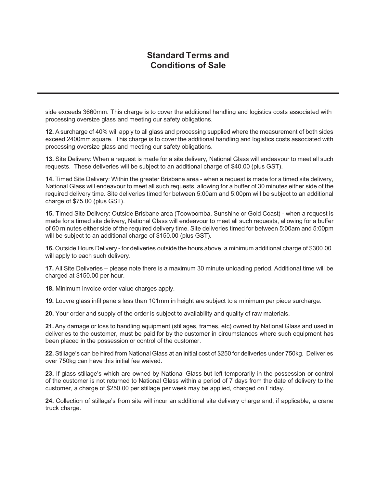side exceeds 3660mm. This charge is to cover the additional handling and logistics costs associated with processing oversize glass and meeting our safety obligations.

**12.** Asurcharge of 40% will apply to all glass and processing supplied where the measurement of both sides exceed 2400mm square. This charge is to cover the additional handling and logistics costs associated with processing oversize glass and meeting our safety obligations.

**13.** Site Delivery: When a request is made for a site delivery, National Glass will endeavour to meet all such requests. These deliveries will be subject to an additional charge of \$40.00 (plus GST).

**14.** Timed Site Delivery: Within the greater Brisbane area - when a request is made for a timed site delivery, National Glass will endeavour to meet all such requests, allowing for a buffer of 30 minutes either side of the required delivery time. Site deliveries timed for between 5:00am and 5:00pm will be subject to an additional charge of \$75.00 (plus GST).

**15.** Timed Site Delivery: Outside Brisbane area (Toowoomba, Sunshine or Gold Coast) - when a request is made for a timed site delivery, National Glass will endeavour to meet all such requests, allowing for a buffer of 60 minutes either side of the required delivery time. Site deliveries timed for between 5:00am and 5:00pm will be subject to an additional charge of \$150.00 (plus GST).

**16.** Outside Hours Delivery - for deliveries outside the hours above, a minimum additional charge of \$300.00 will apply to each such delivery.

**17.** All Site Deliveries – please note there is a maximum 30 minute unloading period. Additional time will be charged at \$150.00 per hour.

**18.** Minimum invoice order value charges apply.

**19.** Louvre glass infil panels less than 101mm in height are subject to a minimum per piece surcharge.

**20.** Your order and supply of the order is subject to availability and quality of raw materials.

**21.** Any damage or loss to handling equipment (stillages, frames, etc) owned by National Glass and used in deliveries to the customer, must be paid for by the customer in circumstances where such equipment has been placed in the possession or control of the customer.

**22.** Stillage's can be hired from National Glass at an initial cost of \$250 for deliveries under 750kg. Deliveries over 750kg can have this initial fee waived.

**23.** If glass stillage's which are owned by National Glass but left temporarily in the possession or control of the customer is not returned to National Glass within a period of 7 days from the date of delivery to the customer, a charge of \$250.00 per stillage per week may be applied, charged on Friday.

**24.** Collection of stillage's from site will incur an additional site delivery charge and, if applicable, a crane truck charge.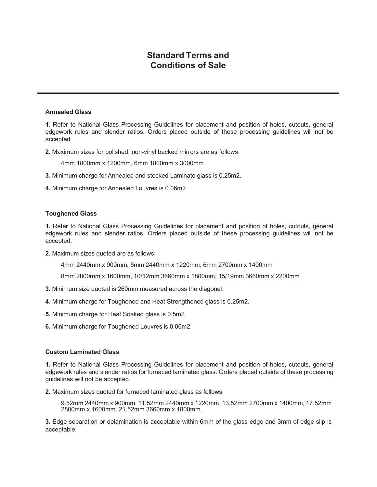### **Annealed Glass**

**1.** Refer to National Glass Processing Guidelines for placement and position of holes, cutouts, general edgework rules and slender ratios. Orders placed outside of these processing guidelines will not be accepted.

**2.** Maximum sizes for polished, non-vinyl backed mirrors are as follows:

4mm 1800mm x 1200mm, 6mm 1800mm x 3000mm

- **3.** Minimum charge for Annealed and stocked Laminate glass is 0.25m2.
- **4.** Minimum charge for Annealed Louvres is 0.06m2

#### **Toughened Glass**

**1.** Refer to National Glass Processing Guidelines for placement and position of holes, cutouts, general edgework rules and slender ratios. Orders placed outside of these processing guidelines will not be accepted.

**2.** Maximum sizes quoted are as follows:

4mm 2440mm x 900mm, 5mm 2440mm x 1220mm, 6mm 2700mm x 1400mm

8mm 2800mm x 1600mm, 10/12mm 3660mm x 1800mm, 15/19mm 3660mm x 2200mm

- **3.** Minimum size quoted is 260mm measured across the diagonal.
- **4.** Minimum charge for Toughened and Heat Strengthened glass is 0.25m2.
- **5.** Minimum charge for Heat Soaked glass is 0.5m2.
- **6.** Minimum charge for Toughened Louvres is 0.06m2

### **Custom Laminated Glass**

**1.** Refer to National Glass Processing Guidelines for placement and position of holes, cutouts, general edgework rules and slender ratios for furnaced laminated glass. Orders placed outside of these processing guidelines will not be accepted.

**2.** Maximum sizes quoted for furnaced laminated glass as follows:

9.52mm 2440mm x 900mm, 11.52mm 2440mm x 1220mm, 13.52mm 2700mm x 1400mm, 17.52mm 2800mm x 1600mm, 21.52mm 3660mm x 1800mm.

**3.** Edge separation or delamination is acceptable within 6mm of the glass edge and 3mm of edge slip is acceptable.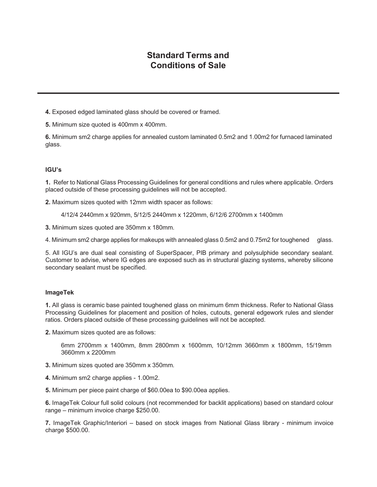**4.** Exposed edged laminated glass should be covered or framed.

**5.** Minimum size quoted is 400mm x 400mm.

**6.** Minimum sm2 charge applies for annealed custom laminated 0.5m2 and 1.00m2 for furnaced laminated glass.

## **IGU's**

**1.** Refer to National Glass Processing Guidelines for general conditions and rules where applicable. Orders placed outside of these processing guidelines will not be accepted.

**2.** Maximum sizes quoted with 12mm width spacer as follows:

4/12/4 2440mm x 920mm, 5/12/5 2440mm x 1220mm, 6/12/6 2700mm x 1400mm

**3.** Minimum sizes quoted are 350mm x 180mm.

4. Minimum sm2 charge applies for makeups with annealed glass 0.5m2 and 0.75m2 for toughened glass.

5. All IGU's are dual seal consisting of SuperSpacer, PIB primary and polysulphide secondary sealant. Customer to advise, where IG edges are exposed such as in structural glazing systems, whereby silicone secondary sealant must be specified.

### **ImageTek**

**1.** All glass is ceramic base painted toughened glass on minimum 6mm thickness. Refer to National Glass Processing Guidelines for placement and position of holes, cutouts, general edgework rules and slender ratios. Orders placed outside of these processing guidelines will not be accepted.

**2.** Maximum sizes quoted are as follows:

6mm 2700mm x 1400mm, 8mm 2800mm x 1600mm, 10/12mm 3660mm x 1800mm, 15/19mm 3660mm x 2200mm

- **3.** Minimum sizes quoted are 350mm x 350mm.
- **4.** Minimum sm2 charge applies 1.00m2.

**5.** Minimum per piece paint charge of \$60.00ea to \$90.00ea applies.

**6.** ImageTek Colour full solid colours (not recommended for backlit applications) based on standard colour range – minimum invoice charge \$250.00.

**7.** ImageTek Graphic/Interiori – based on stock images from National Glass library - minimum invoice charge \$500.00.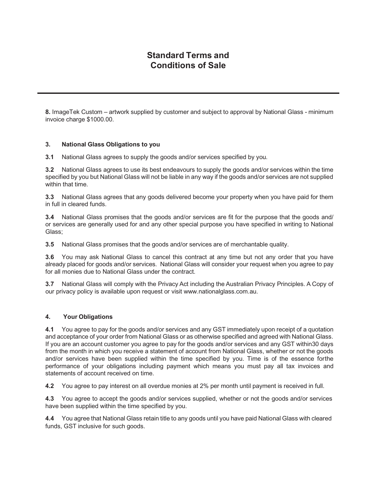**8.** ImageTek Custom – artwork supplied by customer and subject to approval by National Glass - minimum invoice charge \$1000.00.

### **3. National Glass Obligations to you**

**3.1** National Glass agrees to supply the goods and/or services specified by you.

**3.2** National Glass agrees to use its best endeavours to supply the goods and/or services within the time specified by you but National Glass will not be liable in any way if the goods and/or services are not supplied within that time.

**3.3** National Glass agrees that any goods delivered become your property when you have paid for them in full in cleared funds.

**3.4** National Glass promises that the goods and/or services are fit for the purpose that the goods and/ or services are generally used for and any other special purpose you have specified in writing to National Glass;

**3.5** National Glass promises that the goods and/or services are of merchantable quality.

**3.6** You may ask National Glass to cancel this contract at any time but not any order that you have already placed for goods and/or services. National Glass will consider your request when you agree to pay for all monies due to National Glass under the contract.

**3.7** National Glass will comply with the Privacy Act including the Australian Privacy Principles. A Copy of our privacy policy is available upon request or visit [www.nationalglass.com.au.](http://www.nationalglass.com.au/)

## **4. Your Obligations**

**4.1** You agree to pay for the goods and/or services and any GST immediately upon receipt of a quotation and acceptance of your order from National Glass or as otherwise specified and agreed with National Glass. If you are an account customer you agree to pay for the goods and/or services and any GST within30 days from the month in which you receive a statement of account from National Glass, whether or not the goods and/or services have been supplied within the time specified by you. Time is of the essence forthe performance of your obligations including payment which means you must pay all tax invoices and statements of account received on time.

**4.2** You agree to pay interest on all overdue monies at 2% per month until payment is received in full.

**4.3** You agree to accept the goods and/or services supplied, whether or not the goods and/or services have been supplied within the time specified by you.

**4.4** You agree that National Glass retain title to any goods until you have paid National Glass with cleared funds, GST inclusive for such goods.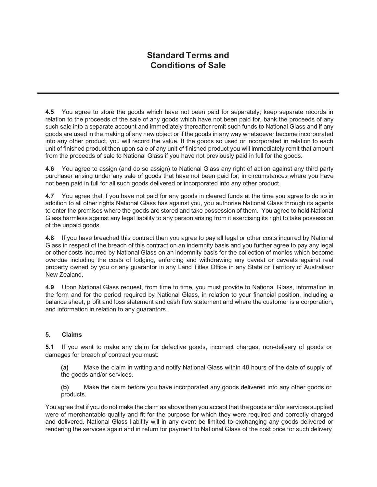**4.5** You agree to store the goods which have not been paid for separately; keep separate records in relation to the proceeds of the sale of any goods which have not been paid for, bank the proceeds of any such sale into a separate account and immediately thereafter remit such funds to National Glass and if any goods are used in the making of any new object or if the goods in any way whatsoever become incorporated into any other product, you will record the value. If the goods so used or incorporated in relation to each unit of finished product then upon sale of any unit of finished product you will immediately remit that amount from the proceeds of sale to National Glass if you have not previously paid in full for the goods.

**4.6** You agree to assign (and do so assign) to National Glass any right of action against any third party purchaser arising under any sale of goods that have not been paid for, in circumstances where you have not been paid in full for all such goods delivered or incorporated into any other product.

**4.7** You agree that if you have not paid for any goods in cleared funds at the time you agree to do so in addition to all other rights National Glass has against you, you authorise National Glass through its agents to enter the premises where the goods are stored and take possession of them. You agree to hold National Glass harmless against any legal liability to any person arising from it exercising its right to take possession of the unpaid goods.

**4.8** If you have breached this contract then you agree to pay all legal or other costs incurred by National Glass in respect of the breach of this contract on an indemnity basis and you further agree to pay any legal or other costs incurred by National Glass on an indemnity basis for the collection of monies which become overdue including the costs of lodging, enforcing and withdrawing any caveat or caveats against real property owned by you or any guarantor in any Land Titles Office in any State or Territory of Australiaor New Zealand.

**4.9** Upon National Glass request, from time to time, you must provide to National Glass, information in the form and for the period required by National Glass, in relation to your financial position, including a balance sheet, profit and loss statement and cash flow statement and where the customer is a corporation, and information in relation to any guarantors.

## **5. Claims**

**5.1** If you want to make any claim for defective goods, incorrect charges, non-delivery of goods or damages for breach of contract you must:

**(a)** Make the claim in writing and notify National Glass within 48 hours of the date of supply of the goods and/or services.

**(b)** Make the claim before you have incorporated any goods delivered into any other goods or products.

You agree that if you do not make the claim as above then you accept that the goods and/or services supplied were of merchantable quality and fit for the purpose for which they were required and correctly charged and delivered. National Glass liability will in any event be limited to exchanging any goods delivered or rendering the services again and in return for payment to National Glass of the cost price for such delivery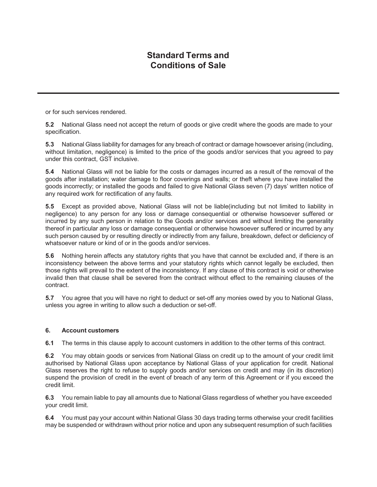or for such services rendered.

**5.2** National Glass need not accept the return of goods or give credit where the goods are made to your specification.

**5.3** National Glass liability for damages for any breach of contract or damage howsoever arising (including, without limitation, negligence) is limited to the price of the goods and/or services that you agreed to pay under this contract, GST inclusive.

**5.4** National Glass will not be liable for the costs or damages incurred as a result of the removal of the goods after installation; water damage to floor coverings and walls; or theft where you have installed the goods incorrectly; or installed the goods and failed to give National Glass seven (7) days' written notice of any required work for rectification of any faults.

**5.5** Except as provided above, National Glass will not be liable(including but not limited to liability in negligence) to any person for any loss or damage consequential or otherwise howsoever suffered or incurred by any such person in relation to the Goods and/or services and without limiting the generality thereof in particular any loss or damage consequential or otherwise howsoever suffered or incurred by any such person caused by or resulting directly or indirectly from any failure, breakdown, defect or deficiency of whatsoever nature or kind of or in the goods and/or services.

**5.6** Nothing herein affects any statutory rights that you have that cannot be excluded and, if there is an inconsistency between the above terms and your statutory rights which cannot legally be excluded, then those rights will prevail to the extent of the inconsistency. If any clause of this contract is void or otherwise invalid then that clause shall be severed from the contract without effect to the remaining clauses of the contract.

**5.7** You agree that you will have no right to deduct or set-off any monies owed by you to National Glass, unless you agree in writing to allow such a deduction or set-off.

## **6. Account customers**

**6.1** The terms in this clause apply to account customers in addition to the other terms of this contract.

**6.2** You may obtain goods or services from National Glass on credit up to the amount of your credit limit authorised by National Glass upon acceptance by National Glass of your application for credit. National Glass reserves the right to refuse to supply goods and/or services on credit and may (in its discretion) suspend the provision of credit in the event of breach of any term of this Agreement or if you exceed the credit limit.

**6.3** You remain liable to pay all amounts due to National Glass regardless of whether you have exceeded your credit limit.

**6.4** You must pay your account within National Glass 30 days trading terms otherwise your credit facilities may be suspended or withdrawn without prior notice and upon any subsequent resumption of such facilities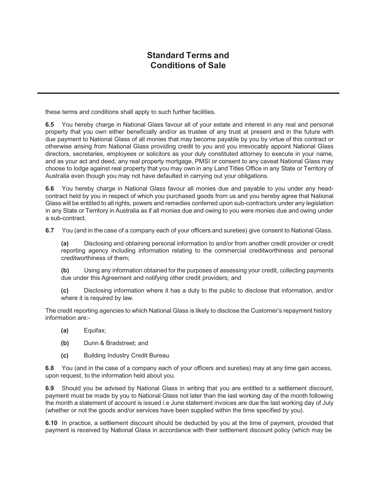these terms and conditions shall apply to such further facilities.

**6.5** You hereby charge in National Glass favour all of your estate and interest in any real and personal property that you own either beneficially and/or as trustee of any trust at present and in the future with due payment to National Glass of all monies that may become payable by you by virtue of this contract or otherwise arising from National Glass providing credit to you and you irrevocably appoint National Glass directors, secretaries, employees or solicitors as your duly constituted attorney to execute in your name, and as your act and deed, any real property mortgage, PMSI or consent to any caveat National Glass may choose to lodge against real property that you may own in any Land Titles Office in any State or Territory of Australia even though you may not have defaulted in carrying out your obligations.

**6.6** You hereby charge in National Glass favour all monies due and payable to you under any headcontract held by you in respect of which you purchased goods from us and you hereby agree that National Glass will be entitled to all rights, powers and remedies conferred upon sub-contractors under any legislation in any State or Territory in Australia as if all monies due and owing to you were monies due and owing under a sub-contract.

**6.7** You (and in the case of a company each of your officers and sureties) give consent to National Glass.

**(a)** Disclosing and obtaining personal information to and/or from another credit provider or credit reporting agency including information relating to the commercial creditworthiness and personal creditworthiness of them;

**(b)** Using any information obtained for the purposes of assessing your credit, collecting payments due under this Agreement and notifying other credit providers; and

**(c)** Disclosing information where it has a duty to the public to disclose that information, and/or where it is required by law.

The credit reporting agencies to which National Glass is likely to disclose the Customer's repayment history information are:-

- **(a)** Equifax;
- **(b)** Dunn & Bradstreet; and
- **(c)** Building Industry Credit Bureau.

**6.8** You (and in the case of a company each of your officers and sureties) may at any time gain access, upon request, to the information held about you.

**6.9** Should you be advised by National Glass in writing that you are entitled to a settlement discount, payment must be made by you to National Glass not later than the last working day of the month following the month a statement of account is issued i.e June statement invoices are due the last working day of July (whether or not the goods and/or services have been supplied within the time specified by you).

**6.10** In practice, a settlement discount should be deducted by you at the time of payment, provided that payment is received by National Glass in accordance with their settlement discount policy (which may be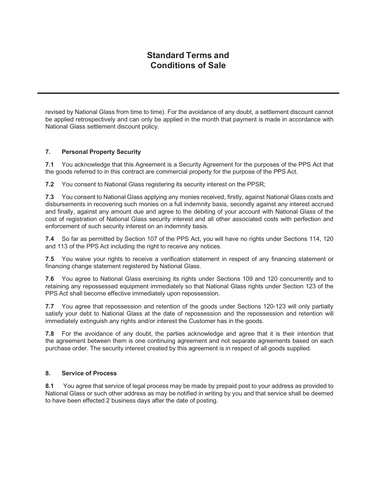revised by National Glass from time to time). For the avoidance of any doubt, a settlement discount cannot be applied retrospectively and can only be applied in the month that payment is made in accordance with National Glass settlement discount policy.

## **7. Personal Property Security**

**7.1** You acknowledge that this Agreement is a Security Agreement for the purposes of the PPS Act that the goods referred to in this contract are commercial property for the purpose of the PPS Act.

**7.2** You consent to National Glass registering its security interest on the PPSR;

**7.3** You consent to National Glass applying any monies received, firstly, against National Glass costs and disbursements in recovering such monies on a full indemnity basis, secondly against any interest accrued and finally, against any amount due and agree to the debiting of your account with National Glass of the cost of registration of National Glass security interest and all other associated costs with perfection and enforcement of such security interest on an indemnity basis.

**7.4** So far as permitted by Section 107 of the PPS Act, you will have no rights under Sections 114, 120 and 113 of the PPS Act including the right to receive any notices.

**7.5** You waive your rights to receive a verification statement in respect of any financing statement or financing change statement registered by National Glass.

**7.6** You agree to National Glass exercising its rights under Sections 109 and 120 concurrently and to retaining any repossessed equipment immediately so that National Glass rights under Section 123 of the PPS Act shall become effective immediately upon repossession.

**7.7** You agree that repossession and retention of the goods under Sections 120-123 will only partially satisfy your debt to National Glass at the date of repossession and the repossession and retention will immediately extinguish any rights and/or interest the Customer has in the goods.

**7.8** For the avoidance of any doubt, the parties acknowledge and agree that it is their intention that the agreement between them is one continuing agreement and not separate agreements based on each purchase order. The security interest created by this agreement is in respect of all goods supplied.

## **8. Service of Process**

**8.1** You agree that service of legal process may be made by prepaid post to your address as provided to National Glass or such other address as may be notified in writing by you and that service shall be deemed to have been effected 2 business days after the date of posting.